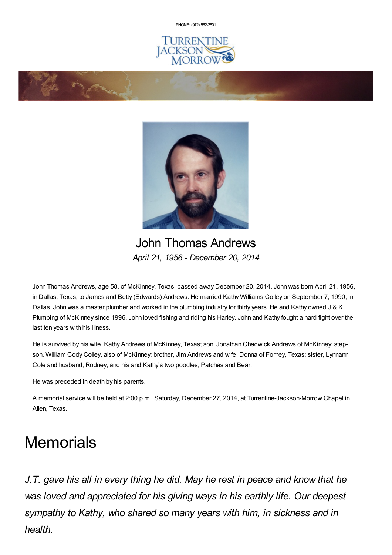PHONE: (972) [562-2601](tel:(972) 562-2601)







John Thomas Andrews *April 21, 1956 - December 20, 2014*

John Thomas Andrews, age 58, of McKinney, Texas, passed away December 20, 2014. John was born April 21, 1956, in Dallas, Texas, to James and Betty (Edwards) Andrews. He married Kathy Williams Colley on September 7, 1990, in Dallas. John was a master plumber and worked in the plumbing industry for thirty years. He and Kathy owned J & K Plumbing of McKinney since 1996. John loved fishing and riding his Harley. John and Kathy fought a hard fight over the last ten years with his illness.

He is survived by his wife, Kathy Andrews of McKinney, Texas; son, Jonathan Chadwick Andrews of McKinney; stepson, William Cody Colley, also of McKinney; brother, Jim Andrews and wife, Donna of Forney, Texas; sister, Lynnann Cole and husband, Rodney; and his and Kathy's two poodles, Patches and Bear.

He was preceded in death by his parents.

A memorial service will be held at 2:00 p.m., Saturday, December 27, 2014, at Turrentine-Jackson-Morrow Chapel in Allen, Texas.

## **Memorials**

*J.T. gave his all in every thing he did. May he rest in peace and know that he was loved and appreciated for his giving ways in his earthly life. Our deepest sympathy to Kathy, who shared so many years with him, in sickness and in health.*